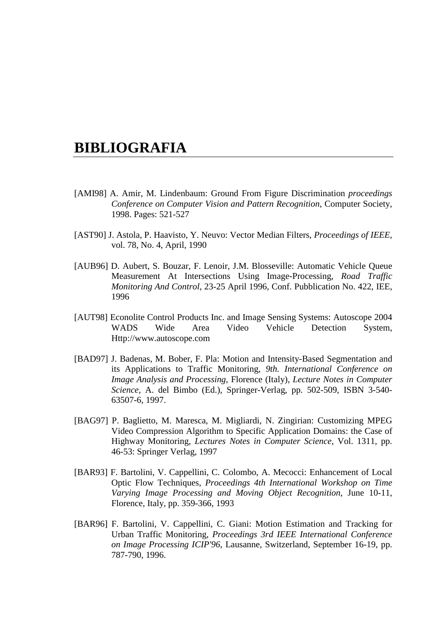## **BIBLIOGRAFIA**

- [AMI98] A. Amir, M. Lindenbaum: Ground From Figure Discrimination *proceedings Conference on Computer Vision and Pattern Recognition*, Computer Society, 1998. Pages: 521-527
- [AST90] J. Astola, P. Haavisto, Y. Neuvo: Vector Median Filters, *Proceedings of IEEE*, vol. 78, No. 4, April, 1990
- [AUB96] D. Aubert, S. Bouzar, F. Lenoir, J.M. Blosseville: Automatic Vehicle Queue Measurement At Intersections Using Image-Processing, *Road Traffic Monitoring And Control*, 23-25 April 1996, Conf. Pubblication No. 422, IEE, 1996
- [AUT98] Econolite Control Products Inc. and Image Sensing Systems: Autoscope 2004 WADS Wide Area Video Vehicle Detection System, Http://www.autoscope.com
- [BAD97] J. Badenas, M. Bober, F. Pla: Motion and Intensity-Based Segmentation and its Applications to Traffic Monitoring, *9th. International Conference on Image Analysis and Processing*, Florence (Italy), *Lecture Notes in Computer Science*, A. del Bimbo (Ed.), Springer-Verlag, pp. 502-509, ISBN 3-540- 63507-6, 1997.
- [BAG97] P. Baglietto, M. Maresca, M. Migliardi, N. Zingirian: Customizing MPEG Video Compression Algorithm to Specific Application Domains: the Case of Highway Monitoring, *Lectures Notes in Computer Science*, Vol. 1311, pp. 46-53: Springer Verlag, 1997
- [BAR93] F. Bartolini, V. Cappellini, C. Colombo, A. Mecocci: Enhancement of Local Optic Flow Techniques, *Proceedings 4th International Workshop on Time Varying Image Processing and Moving Object Recognition*, June 10-11, Florence, Italy, pp. 359-366, 1993
- [BAR96] F. Bartolini, V. Cappellini, C. Giani: Motion Estimation and Tracking for Urban Traffic Monitoring, *Proceedings 3rd IEEE International Conference on Image Processing ICIP'96*, Lausanne, Switzerland, September 16-19, pp. 787-790, 1996.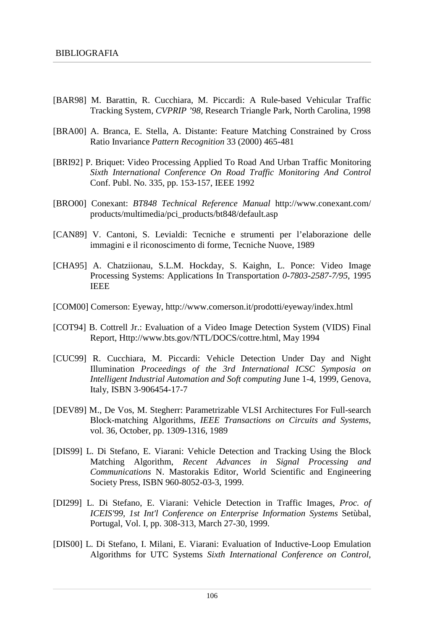- [BAR98] M. Barattin, R. Cucchiara, M. Piccardi: A Rule-based Vehicular Traffic Tracking System, *CVPRIP '98*, Research Triangle Park, North Carolina, 1998
- [BRA00] A. Branca, E. Stella, A. Distante: Feature Matching Constrained by Cross Ratio Invariance *Pattern Recognition* 33 (2000) 465-481
- [BRI92] P. Briquet: Video Processing Applied To Road And Urban Traffic Monitoring *Sixth International Conference On Road Traffic Monitoring And Control* Conf. Publ. No. 335, pp. 153-157, IEEE 1992
- [BRO00] Conexant: *BT848 Technical Reference Manual* http://www.conexant.com/ products/multimedia/pci\_products/bt848/default.asp
- [CAN89] V. Cantoni, S. Levialdi: Tecniche e strumenti per l'elaborazione delle immagini e il riconoscimento di forme, Tecniche Nuove, 1989
- [CHA95] A. Chatziionau, S.L.M. Hockday, S. Kaighn, L. Ponce: Video Image Processing Systems: Applications In Transportation *0-7803-2587-7/95*, 1995 IEEE
- [COM00] Comerson: Eyeway, http://www.comerson.it/prodotti/eyeway/index.html
- [COT94] B. Cottrell Jr.: Evaluation of a Video Image Detection System (VIDS) Final Report, Http://www.bts.gov/NTL/DOCS/cottre.html, May 1994
- [CUC99] R. Cucchiara, M. Piccardi: Vehicle Detection Under Day and Night Illumination *Proceedings of the 3rd International ICSC Symposia on Intelligent Industrial Automation and Soft computing* June 1-4, 1999, Genova, Italy, ISBN 3-906454-17-7
- [DEV89] M., De Vos, M. Stegherr: Parametrizable VLSI Architectures For Full-search Block-matching Algorithms, *IEEE Transactions on Circuits and Systems*, vol. 36, October, pp. 1309-1316, 1989
- [DIS99] L. Di Stefano, E. Viarani: Vehicle Detection and Tracking Using the Block Matching Algorithm, *Recent Advances in Signal Processing and Communications* N. Mastorakis Editor, World Scientific and Engineering Society Press, ISBN 960-8052-03-3, 1999.
- [DI299] L. Di Stefano, E. Viarani: Vehicle Detection in Traffic Images, *Proc. of ICEIS'99, 1st Int'l Conference on Enterprise Information Systems* Setùbal, Portugal, Vol. I, pp. 308-313, March 27-30, 1999.
- [DIS00] L. Di Stefano, I. Milani, E. Viarani: Evaluation of Inductive-Loop Emulation Algorithms for UTC Systems *Sixth International Conference on Control,*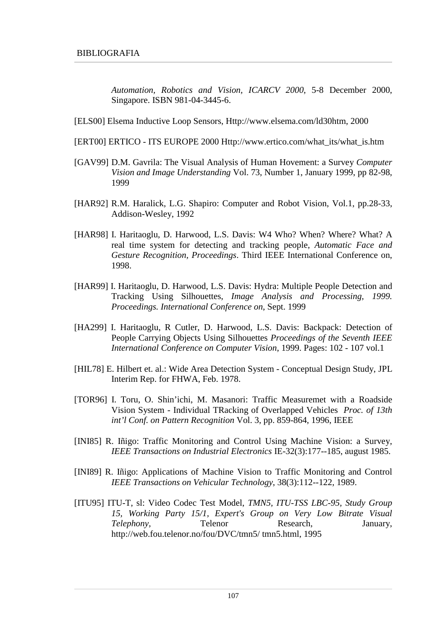*Automation, Robotics and Vision, ICARCV 2000*, 5-8 December 2000, Singapore. ISBN 981-04-3445-6.

- [ELS00] Elsema Inductive Loop Sensors, Http://www.elsema.com/ld30htm, 2000
- [ERT00] ERTICO ITS EUROPE 2000 Http://www.ertico.com/what\_its/what\_is.htm
- [GAV99] D.M. Gavrila: The Visual Analysis of Human Hovement: a Survey *Computer Vision and Image Understanding* Vol. 73, Number 1, January 1999, pp 82-98, 1999
- [HAR92] R.M. Haralick, L.G. Shapiro: Computer and Robot Vision, Vol.1, pp.28-33, Addison-Wesley, 1992
- [HAR98] I. Haritaoglu, D. Harwood, L.S. Davis: W4 Who? When? Where? What? A real time system for detecting and tracking people, *Automatic Face and Gesture Recognition, Proceedings*. Third IEEE International Conference on, 1998.
- [HAR99] I. Haritaoglu, D. Harwood, L.S. Davis: Hydra: Multiple People Detection and Tracking Using Silhouettes, *Image Analysis and Processing, 1999. Proceedings. International Conference on*, Sept. 1999
- [HA299] I. Haritaoglu, R Cutler, D. Harwood, L.S. Davis: Backpack: Detection of People Carrying Objects Using Silhouettes *Proceedings of the Seventh IEEE International Conference on Computer Vision*, 1999. Pages: 102 - 107 vol.1
- [HIL78] E. Hilbert et. al.: Wide Area Detection System Conceptual Design Study, JPL Interim Rep. for FHWA, Feb. 1978.
- [TOR96] I. Toru, O. Shin'ichi, M. Masanori: Traffic Measuremet with a Roadside Vision System - Individual TRacking of Overlapped Vehicles *Proc. of 13th int'l Conf. on Pattern Recognition* Vol. 3, pp. 859-864, 1996, IEEE
- [INI85] R. Iñigo: Traffic Monitoring and Control Using Machine Vision: a Survey, *IEEE Transactions on Industrial Electronics* IE-32(3):177--185, august 1985.
- [INI89] R. Iñigo: Applications of Machine Vision to Traffic Monitoring and Control *IEEE Transactions on Vehicular Technology*, 38(3):112--122, 1989.
- [ITU95] ITU-T, sl: Video Codec Test Model, *TMN5, ITU-TSS LBC-95, Study Group 15, Working Party 15/1, Expert's Group on Very Low Bitrate Visual Telephony*, **Telenor** Research, January, http://web.fou.telenor.no/fou/DVC/tmn5/ tmn5.html, 1995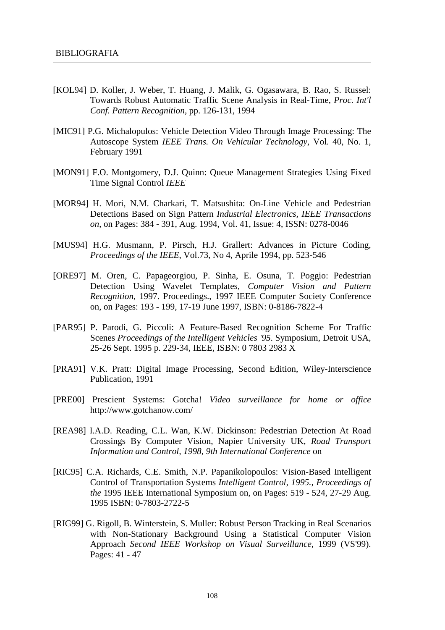- [KOL94] D. Koller, J. Weber, T. Huang, J. Malik, G. Ogasawara, B. Rao, S. Russel: Towards Robust Automatic Traffic Scene Analysis in Real-Time, *Proc. Int'l Conf. Pattern Recognition*, pp. 126-131, 1994
- [MIC91] P.G. Michalopulos: Vehicle Detection Video Through Image Processing: The Autoscope System *IEEE Trans. On Vehicular Technology*, Vol. 40, No. 1, February 1991
- [MON91] F.O. Montgomery, D.J. Quinn: Queue Management Strategies Using Fixed Time Signal Control *IEEE*
- [MOR94] H. Mori, N.M. Charkari, T. Matsushita: On-Line Vehicle and Pedestrian Detections Based on Sign Pattern *Industrial Electronics, IEEE Transactions on*, on Pages: 384 - 391, Aug. 1994, Vol. 41, Issue: 4, ISSN: 0278-0046
- [MUS94] H.G. Musmann, P. Pirsch, H.J. Grallert: Advances in Picture Coding, *Proceedings of the IEEE*, Vol.73, No 4, Aprile 1994, pp. 523-546
- [ORE97] M. Oren, C. Papageorgiou, P. Sinha, E. Osuna, T. Poggio: Pedestrian Detection Using Wavelet Templates, *Computer Vision and Pattern Recognition*, 1997. Proceedings., 1997 IEEE Computer Society Conference on, on Pages: 193 - 199, 17-19 June 1997, ISBN: 0-8186-7822-4
- [PAR95] P. Parodi, G. Piccoli: A Feature-Based Recognition Scheme For Traffic Scenes *Proceedings of the Intelligent Vehicles '95*. Symposium, Detroit USA, 25-26 Sept. 1995 p. 229-34, IEEE, ISBN: 0 7803 2983 X
- [PRA91] V.K. Pratt: Digital Image Processing, Second Edition, Wiley-Interscience Publication, 1991
- [PRE00] Prescient Systems: Gotcha! *Video surveillance for home or office* http://www.gotchanow.com/
- [REA98] I.A.D. Reading, C.L. Wan, K.W. Dickinson: Pedestrian Detection At Road Crossings By Computer Vision, Napier University UK, *Road Transport Information and Control, 1998, 9th International Conference* on
- [RIC95] C.A. Richards, C.E. Smith, N.P. Papanikolopoulos: Vision-Based Intelligent Control of Transportation Systems *Intelligent Control, 1995., Proceedings of the* 1995 IEEE International Symposium on, on Pages: 519 - 524, 27-29 Aug. 1995 ISBN: 0-7803-2722-5
- [RIG99] G. Rigoll, B. Winterstein, S. Muller: Robust Person Tracking in Real Scenarios with Non-Stationary Background Using a Statistical Computer Vision Approach *Second IEEE Workshop on Visual Surveillance*, 1999 (VS'99). Pages: 41 - 47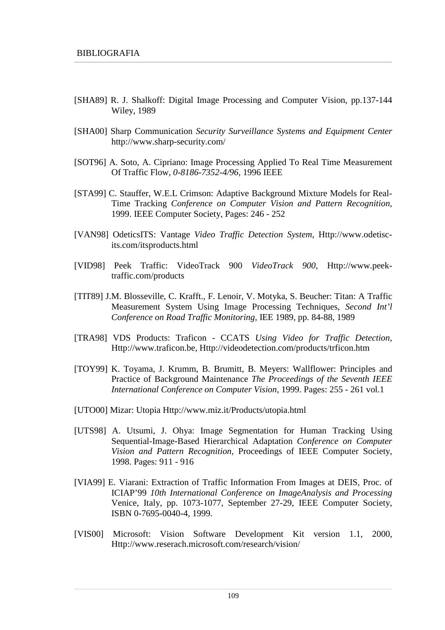- [SHA89] R. J. Shalkoff: Digital Image Processing and Computer Vision, pp.137-144 Wiley, 1989
- [SHA00] Sharp Communication *Security Surveillance Systems and Equipment Center* http://www.sharp-security.com/
- [SOT96] A. Soto, A. Cipriano: Image Processing Applied To Real Time Measurement Of Traffic Flow, *0-8186-7352-4/96*, 1996 IEEE
- [STA99] C. Stauffer, W.E.L Crimson: Adaptive Background Mixture Models for Real-Time Tracking *Conference on Computer Vision and Pattern Recognition*, 1999. IEEE Computer Society, Pages: 246 - 252
- [VAN98] OdeticsITS: Vantage *Video Traffic Detection System*, Http://www.odetiscits.com/itsproducts.html
- [VID98] Peek Traffic: VideoTrack 900 *VideoTrack 900*, Http://www.peektraffic.com/products
- [TIT89] J.M. Blosseville, C. Krafft., F. Lenoir, V. Motyka, S. Beucher: Titan: A Traffic Measurement System Using Image Processing Techniques, *Second Int'l Conference on Road Traffic Monitoring*, IEE 1989, pp. 84-88, 1989
- [TRA98] VDS Products: Traficon CCATS *Using Video for Traffic Detection*, Http://www.traficon.be, Http://videodetection.com/products/trficon.htm
- [TOY99] K. Toyama, J. Krumm, B. Brumitt, B. Meyers: Wallflower: Principles and Practice of Background Maintenance *The Proceedings of the Seventh IEEE International Conference on Computer Vision*, 1999. Pages: 255 - 261 vol.1
- [UTO00] Mizar: Utopia Http://www.miz.it/Products/utopia.html
- [UTS98] A. Utsumi, J. Ohya: Image Segmentation for Human Tracking Using Sequential-Image-Based Hierarchical Adaptation *Conference on Computer Vision and Pattern Recognition*, Proceedings of IEEE Computer Society, 1998. Pages: 911 - 916
- [VIA99] E. Viarani: Extraction of Traffic Information From Images at DEIS, Proc. of ICIAP'99 *10th International Conference on ImageAnalysis and Processing* Venice, Italy, pp. 1073-1077, September 27-29, IEEE Computer Society, ISBN 0-7695-0040-4, 1999.
- [VIS00] Microsoft: Vision Software Development Kit version 1.1, 2000, Http://www.reserach.microsoft.com/research/vision/